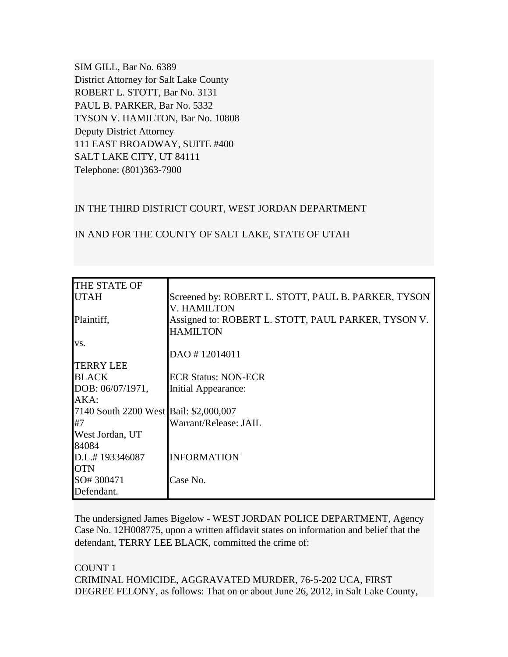SIM GILL, Bar No. 6389 District Attorney for Salt Lake County ROBERT L. STOTT, Bar No. 3131 PAUL B. PARKER, Bar No. 5332 TYSON V. HAMILTON, Bar No. 10808 Deputy District Attorney 111 EAST BROADWAY, SUITE #400 SALT LAKE CITY, UT 84111 Telephone: (801)363-7900

### IN THE THIRD DISTRICT COURT, WEST JORDAN DEPARTMENT

| THE STATE OF                           |                                                     |
|----------------------------------------|-----------------------------------------------------|
| <b>UTAH</b>                            | Screened by: ROBERT L. STOTT, PAUL B. PARKER, TYSON |
|                                        | <b>V. HAMILTON</b>                                  |
| Plaintiff,                             | Assigned to: ROBERT L. STOTT, PAUL PARKER, TYSON V. |
|                                        | <b>HAMILTON</b>                                     |
| VS.                                    |                                                     |
|                                        | DAO #12014011                                       |
| <b>TERRY LEE</b>                       |                                                     |
| <b>BLACK</b>                           | <b>ECR Status: NON-ECR</b>                          |
| DOB: 06/07/1971,                       | Initial Appearance:                                 |
| AKA:                                   |                                                     |
| 7140 South 2200 West Bail: \$2,000,007 |                                                     |
| #7                                     | Warrant/Release: JAIL                               |
| West Jordan, UT                        |                                                     |
| 84084                                  |                                                     |
| D.L.#193346087                         | <b>INFORMATION</b>                                  |
| <b>OTN</b>                             |                                                     |
| SO# 300471                             | Case No.                                            |
| Defendant.                             |                                                     |

IN AND FOR THE COUNTY OF SALT LAKE, STATE OF UTAH

The undersigned James Bigelow - WEST JORDAN POLICE DEPARTMENT, Agency Case No. 12H008775, upon a written affidavit states on information and belief that the defendant, TERRY LEE BLACK, committed the crime of:

COUNT 1 CRIMINAL HOMICIDE, AGGRAVATED MURDER, 76-5-202 UCA, FIRST DEGREE FELONY, as follows: That on or about June 26, 2012, in Salt Lake County,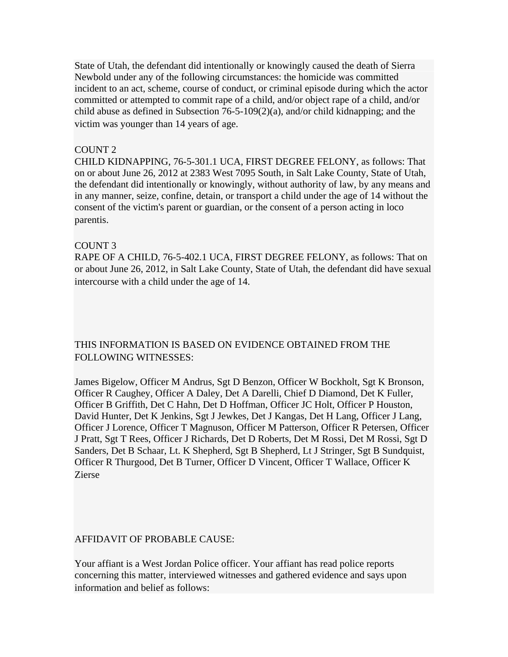State of Utah, the defendant did intentionally or knowingly caused the death of Sierra Newbold under any of the following circumstances: the homicide was committed incident to an act, scheme, course of conduct, or criminal episode during which the actor committed or attempted to commit rape of a child, and/or object rape of a child, and/or child abuse as defined in Subsection 76-5-109(2)(a), and/or child kidnapping; and the victim was younger than 14 years of age.

#### COUNT 2

CHILD KIDNAPPING, 76-5-301.1 UCA, FIRST DEGREE FELONY, as follows: That on or about June 26, 2012 at 2383 West 7095 South, in Salt Lake County, State of Utah, the defendant did intentionally or knowingly, without authority of law, by any means and in any manner, seize, confine, detain, or transport a child under the age of 14 without the consent of the victim's parent or guardian, or the consent of a person acting in loco parentis.

### COUNT 3

RAPE OF A CHILD, 76-5-402.1 UCA, FIRST DEGREE FELONY, as follows: That on or about June 26, 2012, in Salt Lake County, State of Utah, the defendant did have sexual intercourse with a child under the age of 14.

# THIS INFORMATION IS BASED ON EVIDENCE OBTAINED FROM THE FOLLOWING WITNESSES:

James Bigelow, Officer M Andrus, Sgt D Benzon, Officer W Bockholt, Sgt K Bronson, Officer R Caughey, Officer A Daley, Det A Darelli, Chief D Diamond, Det K Fuller, Officer B Griffith, Det C Hahn, Det D Hoffman, Officer JC Holt, Officer P Houston, David Hunter, Det K Jenkins, Sgt J Jewkes, Det J Kangas, Det H Lang, Officer J Lang, Officer J Lorence, Officer T Magnuson, Officer M Patterson, Officer R Petersen, Officer J Pratt, Sgt T Rees, Officer J Richards, Det D Roberts, Det M Rossi, Det M Rossi, Sgt D Sanders, Det B Schaar, Lt. K Shepherd, Sgt B Shepherd, Lt J Stringer, Sgt B Sundquist, Officer R Thurgood, Det B Turner, Officer D Vincent, Officer T Wallace, Officer K Zierse

## AFFIDAVIT OF PROBABLE CAUSE:

Your affiant is a West Jordan Police officer. Your affiant has read police reports concerning this matter, interviewed witnesses and gathered evidence and says upon information and belief as follows: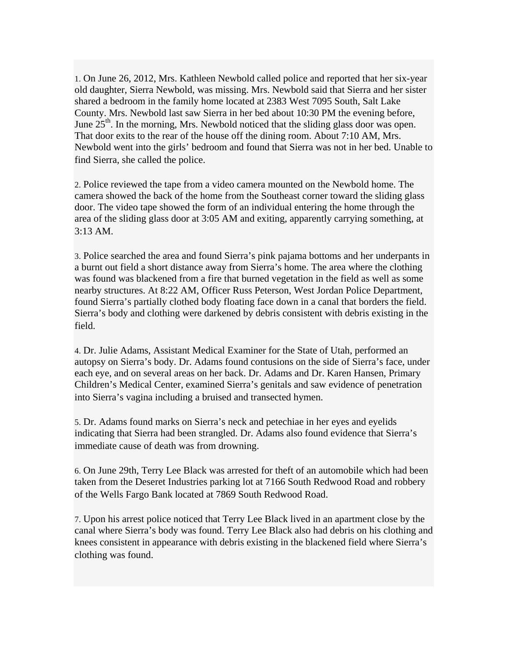1. On June 26, 2012, Mrs. Kathleen Newbold called police and reported that her six-year old daughter, Sierra Newbold, was missing. Mrs. Newbold said that Sierra and her sister shared a bedroom in the family home located at 2383 West 7095 South, Salt Lake County. Mrs. Newbold last saw Sierra in her bed about 10:30 PM the evening before, June  $25<sup>th</sup>$ . In the morning, Mrs. Newbold noticed that the sliding glass door was open. That door exits to the rear of the house off the dining room. About 7:10 AM, Mrs. Newbold went into the girls' bedroom and found that Sierra was not in her bed. Unable to find Sierra, she called the police.

2. Police reviewed the tape from a video camera mounted on the Newbold home. The camera showed the back of the home from the Southeast corner toward the sliding glass door. The video tape showed the form of an individual entering the home through the area of the sliding glass door at 3:05 AM and exiting, apparently carrying something, at 3:13 AM.

3. Police searched the area and found Sierra's pink pajama bottoms and her underpants in a burnt out field a short distance away from Sierra's home. The area where the clothing was found was blackened from a fire that burned vegetation in the field as well as some nearby structures. At 8:22 AM, Officer Russ Peterson, West Jordan Police Department, found Sierra's partially clothed body floating face down in a canal that borders the field. Sierra's body and clothing were darkened by debris consistent with debris existing in the field.

4. Dr. Julie Adams, Assistant Medical Examiner for the State of Utah, performed an autopsy on Sierra's body. Dr. Adams found contusions on the side of Sierra's face, under each eye, and on several areas on her back. Dr. Adams and Dr. Karen Hansen, Primary Children's Medical Center, examined Sierra's genitals and saw evidence of penetration into Sierra's vagina including a bruised and transected hymen.

5. Dr. Adams found marks on Sierra's neck and petechiae in her eyes and eyelids indicating that Sierra had been strangled. Dr. Adams also found evidence that Sierra's immediate cause of death was from drowning.

6. On June 29th, Terry Lee Black was arrested for theft of an automobile which had been taken from the Deseret Industries parking lot at 7166 South Redwood Road and robbery of the Wells Fargo Bank located at 7869 South Redwood Road.

7. Upon his arrest police noticed that Terry Lee Black lived in an apartment close by the canal where Sierra's body was found. Terry Lee Black also had debris on his clothing and knees consistent in appearance with debris existing in the blackened field where Sierra's clothing was found.